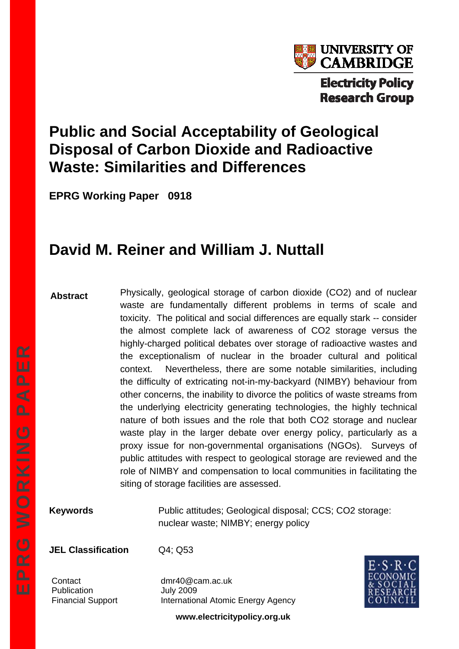

# **Public and Social Acceptability of Geological Disposal of Carbon Dioxide and Radioactive Waste: Similarities and Differences**

**EPRG Working Paper 0918** 

# **David M. Reiner and William J. Nuttall**

#### **Abstract**

Physically, geological storage of carbon dioxide (CO2) and of nuclear waste are fundamentally different problems in terms of scale and toxicity. The political and social differences are equally stark -- consider the almost complete lack of awareness of CO2 storage versus the highly-charged political debates over storage of radioactive wastes and the exceptionalism of nuclear in the broader cultural and political context. Nevertheless, there are some notable similarities, including the difficulty of extricating not-in-my-backyard (NIMBY) behaviour from other concerns, the inability to divorce the politics of waste streams from the underlying electricity generating technologies, the highly technical nature of both issues and the role that both CO2 storage and nuclear waste play in the larger debate over energy policy, particularly as a proxy issue for non-governmental organisations (NGOs). Surveys of public attitudes with respect to geological storage are reviewed and the role of NIMBY and compensation to local communities in facilitating the siting of storage facilities are assessed.

**Keywords Public attitudes; Geological disposal; CCS; CO2 storage:** nuclear waste; NIMBY; energy policy

**JEL Classification** Q4; Q53

Publication July 2009

Contact dmr40@cam.ac.uk Financial Support International Atomic Energy Agency



**www.electricitypolicy.org.uk**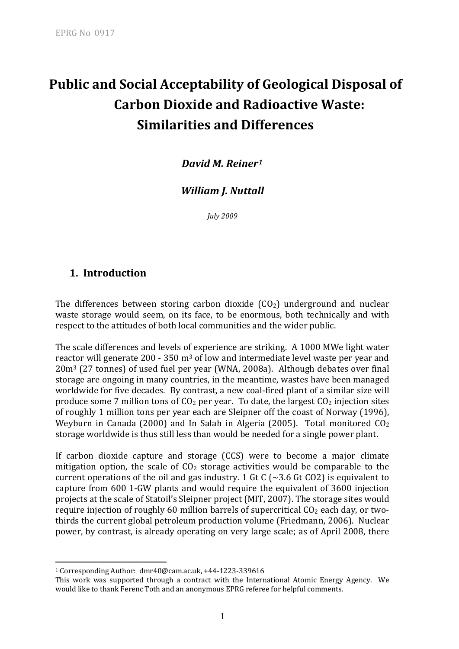# **Public and Social Acceptability of Geological Disposal of Carbon Dioxide and Radioactive Waste: Similarities and Differences**

*David M. Reiner[1](#page-1-0)*

#### *William J. Nuttall*

*July 2009*

#### **1. Introduction**

The differences between storing carbon dioxide  $(CO<sub>2</sub>)$  underground and nuclear waste storage would seem, on its face, to be enormous, both technically and with respect to the attitudes of both local communities and the wider public.

The scale differences and levels of experience are striking. A 1000 MWe light water reactor will generate 200 - 350 m<sup>3</sup> of low and intermediate level waste per year and 20m3 (27 tonnes) of used fuel per year (WNA, 2008a). Although debates over final storage are ongoing in many countries, in the meantime, wastes have been managed worldwide for five decades. By contrast, a new coal-fired plant of a similar size will produce some 7 million tons of  $CO<sub>2</sub>$  per year. To date, the largest  $CO<sub>2</sub>$  injection sites of roughly 1 million tons per year each are Sleipner off the coast of Norway (1996), Weyburn in Canada (2000) and In Salah in Algeria (2005). Total monitored  $CO<sub>2</sub>$ storage worldwide is thus still less than would be needed for a single power plant.

If carbon dioxide capture and storage (CCS) were to become a major climate mitigation option, the scale of  $CO<sub>2</sub>$  storage activities would be comparable to the current operations of the oil and gas industry. 1 Gt C  $\left(\sim\,3.6\right)$  Gt CO2) is equivalent to capture from 600 1‐GW plants and would require the equivalent of 3600 injection projects at the scale of Statoil's Sleipner project (MIT, 2007). The storage sites would require injection of roughly 60 million barrels of supercritical  $CO<sub>2</sub>$  each day, or twothirds the current global petroleum production volume (Friedmann, 2006). Nuclear power, by contrast, is already operating on very large scale; as of April 2008, there

1

<span id="page-1-0"></span><sup>1</sup> Corresponding Author: dmr40@cam.ac.uk, +44‐1223‐339616

This work was supported through a contract with the International Atomic Energy Agency. We would like to thank Ferenc Toth and an anonymous EPRG referee for helpful comments.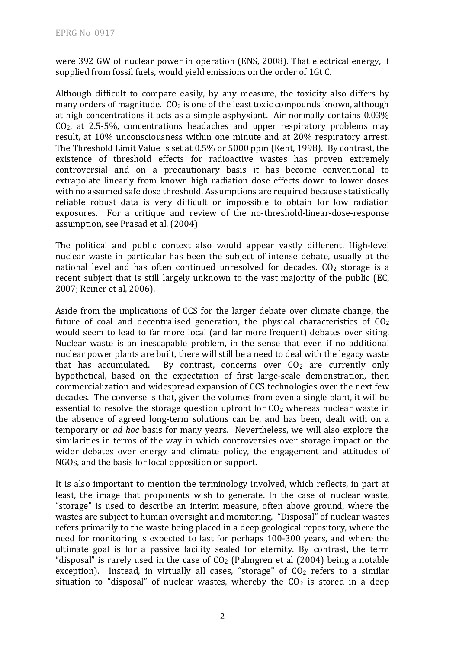were 392 GW of nuclear power in operation (ENS, 2008). That electrical energy, if supplied from fossil fuels, would yield emissions on the order of 1Gt C.

Although difficult to compare easily, by any measure, the toxicity also differs by many orders of magnitude.  $CO<sub>2</sub>$  is one of the least toxic compounds known, although at high concentrations it acts as a simple asphyxiant. Air normally contains 0.03%  $CO<sub>2</sub>$ , at 2.5-5%, concentrations headaches and upper respiratory problems may result, at 10% unconsciousness within one minute and at 20% respiratory arrest. The Threshold Limit Value is set at 0.5% or 5000 ppm (Kent, 1998). By contrast, the existence of threshold effects for radioactive wastes has proven extremely controversial and on a precautionary basis it has become conventional to extrapolate linearly from known high radiation dose effects down to lower doses with no assumed safe dose threshold. Assumptions are required because statistically reliable robust data is very difficult or impossible to obtain for low radiation exposures. For a critique and review of the no-threshold-linear-dose-response assumption, see Prasad et al. (2004)

The political and public context also would appear vastly different. High-level nuclear waste in particular has been the subject of intense debate, usually at the national level and has often continued unresolved for decades.  $CO<sub>2</sub>$  storage is a recent subject that is still largely unknown to the vast majority of the public (EC, 2007; Reiner et al, 2006).

Aside from the implications of CCS for the larger debate over climate change, the future of coal and decentralised generation, the physical characteristics of  $CO<sub>2</sub>$ would seem to lead to far more local (and far more frequent) debates over siting. Nuclear waste is an inescapable problem, in the sense that even if no additional nuclear power plants are built, there will still be a need to deal with the legacy waste that has accumulated. By contrast, concerns over  $CO<sub>2</sub>$  are currently only hypothetical, based on the expectation of first large-scale demonstration, then commercialization and widespread expansion of CCS technologies over the next few decades. The converse is that, given the volumes from even a single plant, it will be essential to resolve the storage question upfront for  $CO<sub>2</sub>$  whereas nuclear waste in the absence of agreed long-term solutions can be, and has been, dealt with on a temporary or *ad hoc* basis for many years. Nevertheless, we will also explore the similarities in terms of the way in which controversies over storage impact on the wider debates over energy and climate policy, the engagement and attitudes of NGOs, and the basis for local opposition or support.

It is also important to mention the terminology involved, which reflects, in part at least, the image that proponents wish to generate. In the case of nuclear waste, "storage" is used to describe an interim measure, often above ground, where the wastes are subject to human oversight and monitoring. "Disposal" of nuclear wastes refers primarily to the waste being placed in a deep geological repository, where the need for monitoring is expected to last for perhaps 100‐300 years, and where the ultimate goal is for a passive facility sealed for eternity. By contrast, the term "disposal" is rarely used in the case of  $CO<sub>2</sub>$  (Palmgren et al (2004) being a notable exception). Instead, in virtually all cases, "storage" of  $CO<sub>2</sub>$  refers to a similar situation to "disposal" of nuclear wastes, whereby the  $CO<sub>2</sub>$  is stored in a deep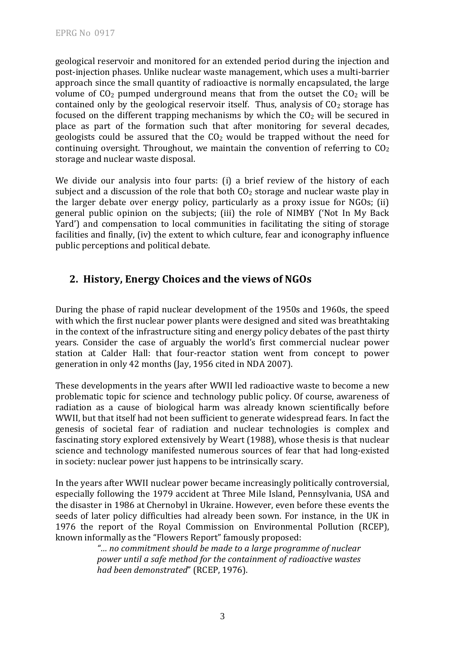geological reservoir and monitored for an extended period during the injection and post‐injection phases. Unlike nuclear waste management, which uses a multi‐barrier approach since the small quantity of radioactive is normally encapsulated, the large volume of  $CO<sub>2</sub>$  pumped underground means that from the outset the  $CO<sub>2</sub>$  will be contained only by the geological reservoir itself. Thus, analysis of  $CO<sub>2</sub>$  storage has focused on the different trapping mechanisms by which the  $CO<sub>2</sub>$  will be secured in place as part of the formation such that after monitoring for several decades, geologists could be assured that the  $CO<sub>2</sub>$  would be trapped without the need for continuing oversight. Throughout, we maintain the convention of referring to  $CO<sub>2</sub>$ storage and nuclear waste disposal.

We divide our analysis into four parts: (i) a brief review of the history of each subject and a discussion of the role that both  $CO<sub>2</sub>$  storage and nuclear waste play in the larger debate over energy policy, particularly as a proxy issue for NGOs; (ii) general public opinion on the subjects; (iii) the role of NIMBY ('Not In My Back Yard') and compensation to local communities in facilitating the siting of storage facilities and finally, (iv) the extent to which culture, fear and iconography influence public perceptions and political debate.

#### **2. History, Energy Choices and the views of NGOs**

During the phase of rapid nuclear development of the 1950s and 1960s, the speed with which the first nuclear power plants were designed and sited was breathtaking in the context of the infrastructure siting and energy policy debates of the past thirty years. Consider the case of arguably the world's first commercial nuclear power station at Calder Hall: that four-reactor station went from concept to power generation in only 42 months (Jay, 1956 cited in NDA 2007).

These developments in the years after WWII led radioactive waste to become a new problematic topic for science and technology public policy. Of course, awareness of radiation as a cause of biological harm was already known scientifically before WWII, but that itself had not been sufficient to generate widespread fears. In fact the genesis of societal fear of radiation and nuclear technologies is complex and fascinating story explored extensively by Weart (1988), whose thesis is that nuclear science and technology manifested numerous sources of fear that had long-existed in society: nuclear power just happens to be intrinsically scary.

In the years after WWII nuclear power became increasingly politically controversial, especially following the 1979 accident at Three Mile Island, Pennsylvania, USA and the disaster in 1986 at Chernobyl in Ukraine. However, even before these events the seeds of later policy difficulties had already been sown. For instance, in the UK in 1976 the report of the Royal Commission on Environmental Pollution (RCEP), known informally as the "Flowers Report" famously proposed:

> *"… no commitment should be made to a large programme of nuclear power until a safe method for the containment of radioactive wastes had been demonstrated*" (RCEP, 1976).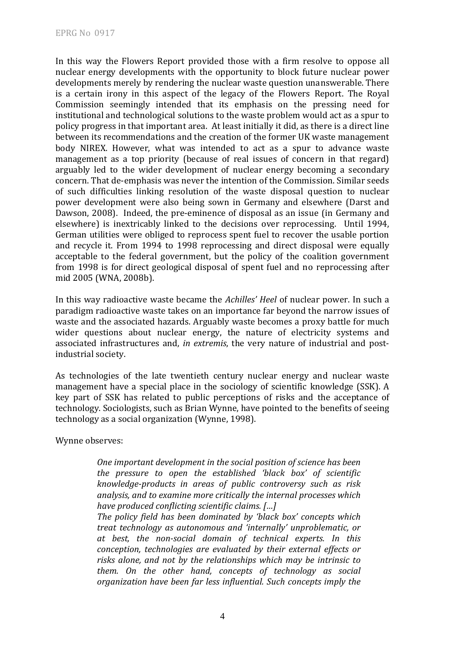In this way the Flowers Report provided those with a firm resolve to oppose all nuclear energy developments with the opportunity to block future nuclear power developments merely by rendering the nuclear waste question unanswerable. There is a certain irony in this aspect of the legacy of the Flowers Report. The Royal Commission seemingly intended that its emphasis on the pressing need for institutional and technological solutions to the waste problem would act as a spur to policy progress in that important area. At least initially it did, as there is a direct line between its recommendations and the creation of the former UK waste management body NIREX. However, what was intended to act as a spur to advance waste management as a top priority (because of real issues of concern in that regard) arguably led to the wider development of nuclear energy becoming a secondary concern. That de‐emphasis was never the intention of the Commission. Similar seeds of such difficulties linking resolution of the waste disposal question to nuclear power development were also being sown in Germany and elsewhere (Darst and Dawson, 2008). Indeed, the pre-eminence of disposal as an issue (in Germany and elsewhere) is inextricably linked to the decisions over reprocessing. Until 1994, German utilities were obliged to reprocess spent fuel to recover the usable portion and recycle it. From 1994 to 1998 reprocessing and direct disposal were equally acceptable to the federal government, but the policy of the coalition government from 1998 is for direct geological disposal of spent fuel and no reprocessing after mid 2005 (WNA, 2008b).

In this way radioactive waste became the *Achilles' Heel* of nuclear power. In such a paradigm radioactive waste takes on an importance far beyond the narrow issues of waste and the associated hazards. Arguably waste becomes a proxy battle for much wider questions about nuclear energy, the nature of electricity systems and associated infrastructures and, *in extremis*, the very nature of industrial and post‐ industrial society.

As technologies of the late twentieth century nuclear energy and nuclear waste management have a special place in the sociology of scientific knowledge (SSK). A key part of SSK has related to public perceptions of risks and the acceptance of technology. Sociologists, such as Brian Wynne, have pointed to the benefits of seeing technology as a social organization (Wynne, 1998).

Wynne observes:

*One important development in the social position of science has been the pressure to open the established 'black box' of scientific knowledgeproducts in areas of public controversy such as risk analysis, and to examine more critically the internal processes which have produced conflicting scientific claims. […]* 

*The policy field has been dominated by 'black box' concepts which treat technology as autonomous and 'internally' unproblematic, or at best, the nonsocial domain of technical experts. In this conception, technologies are evaluated by their external effects or risks alone, and not by the relationships which may be intrinsic to them. On the other hand, concepts of technology as social organization have been far less influential. Such concepts imply the*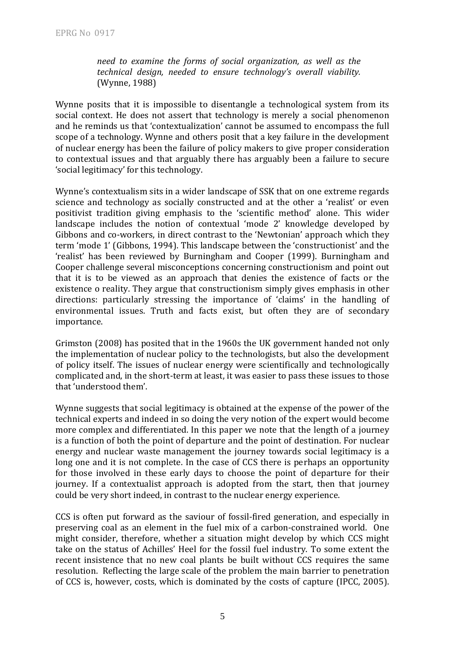*need to examine the forms of social organization, as well as the technical design, needed to ensure technology's overall viability.* (Wynne, 1988)

Wynne posits that it is impossible to disentangle a technological system from its social context. He does not assert that technology is merely a social phenomenon and he reminds us that 'contextualization' cannot be assumed to encompass the full scope of a technology. Wynne and others posit that a key failure in the development of nuclear energy has been the failure of policy makers to give proper consideration to contextual issues and that arguably there has arguably been a failure to secure 'social legitimacy' for this technology.

Wynne's contextualism sits in a wider landscape of SSK that on one extreme regards science and technology as socially constructed and at the other a 'realist' or even positivist tradition giving emphasis to the 'scientific method' alone. This wider landscape includes the notion of contextual 'mode 2' knowledge developed by Gibbons and co-workers, in direct contrast to the 'Newtonian' approach which they term 'mode 1' (Gibbons, 1994). This landscape between the 'constructionist' and the 'realist' has been reviewed by Burningham and Cooper (1999). Burningham and Cooper challenge several misconceptions concerning constructionism and point out that it is to be viewed as an approach that denies the existence of facts or the existence o reality. They argue that constructionism simply gives emphasis in other directions: particularly stressing the importance of 'claims' in the handling of environmental issues. Truth and facts exist, but often they are of secondary importance.

Grimston (2008) has posited that in the 1960s the UK government handed not only the implementation of nuclear policy to the technologists, but also the development of policy itself. The issues of nuclear energy were scientifically and technologically complicated and, in the short‐term at least, it was easier to pass these issues to those that 'understood them'.

Wynne suggests that social legitimacy is obtained at the expense of the power of the technical experts and indeed in so doing the very notion of the expert would become more complex and differentiated. In this paper we note that the length of a journey is a function of both the point of departure and the point of destination. For nuclear energy and nuclear waste management the journey towards social legitimacy is a long one and it is not complete. In the case of CCS there is perhaps an opportunity for those involved in these early days to choose the point of departure for their journey. If a contextualist approach is adopted from the start, then that journey could be very short indeed, in contrast to the nuclear energy experience.

CCS is often put forward as the saviour of fossil‐fired generation, and especially in preserving coal as an element in the fuel mix of a carbon‐constrained world. One might consider, therefore, whether a situation might develop by which CCS might take on the status of Achilles' Heel for the fossil fuel industry. To some extent the recent insistence that no new coal plants be built without CCS requires the same resolution. Reflecting the large scale of the problem the main barrier to penetration of CCS is, however, costs, which is dominated by the costs of capture (IPCC, 2005).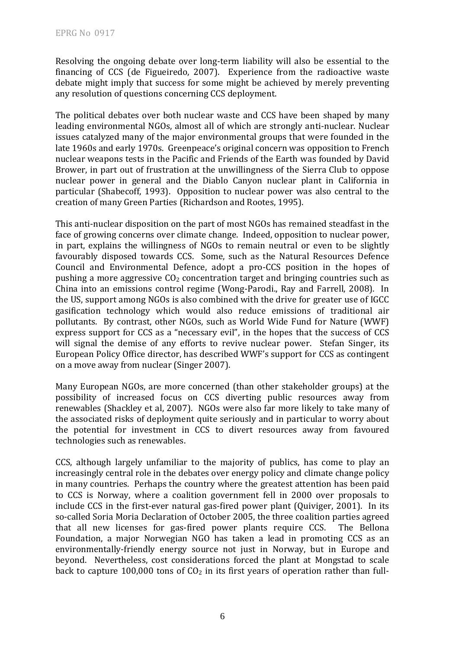Resolving the ongoing debate over long‐term liability will also be essential to the financing of CCS (de Figueiredo, 2007). Experience from the radioactive waste debate might imply that success for some might be achieved by merely preventing any resolution of questions concerning CCS deployment.

The political debates over both nuclear waste and CCS have been shaped by many leading environmental NGOs, almost all of which are strongly anti‐nuclear. Nuclear issues catalyzed many of the major environmental groups that were founded in the late 1960s and early 1970s. Greenpeace's original concern was opposition to French nuclear weapons tests in the Pacific and Friends of the Earth was founded by David Brower, in part out of frustration at the unwillingness of the Sierra Club to oppose nuclear power in general and the Diablo Canyon nuclear plant in California in particular (Shabecoff, 1993). Opposition to nuclear power was also central to the creation of many Green Parties (Richardson and Rootes, 1995).

This anti‐nuclear disposition on the part of most NGOs has remained steadfast in the face of growing concerns over climate change. Indeed, opposition to nuclear power, in part, explains the willingness of NGOs to remain neutral or even to be slightly favourably disposed towards CCS. Some, such as the Natural Resources Defence Council and Environmental Defence, adopt a pro‐CCS position in the hopes of pushing a more aggressive  $CO<sub>2</sub>$  concentration target and bringing countries such as China into an emissions control regime (Wong‐Parodi., Ray and Farrell, 2008). In the US, support among NGOs is also combined with the drive for greater use of IGCC gasification technology which would also reduce emissions of traditional air pollutants. By contrast, other NGOs, such as World Wide Fund for Nature (WWF) express support for CCS as a "necessary evil", in the hopes that the success of CCS will signal the demise of any efforts to revive nuclear power. Stefan Singer, its European Policy Office director, has described WWF's support for CCS as contingent on a move away from nuclear (Singer 2007).

Many European NGOs, are more concerned (than other stakeholder groups) at the possibility of increased focus on CCS diverting public resources away from renewables (Shackley et al, 2007). NGOs were also far more likely to take many of the associated risks of deployment quite seriously and in particular to worry about the potential for investment in CCS to divert resources away from favoured technologies such as renewables.

CCS, although largely unfamiliar to the majority of publics, has come to play an increasingly central role in the debates over energy policy and climate change policy in many countries. Perhaps the country where the greatest attention has been paid to CCS is Norway, where a coalition government fell in 2000 over proposals to include CCS in the first‐ever natural gas‐fired power plant (Quiviger, 2001). In its so-called Soria Moria Declaration of October 2005, the three coalition parties agreed that all new licenses for gas‐fired power plants require CCS. The Bellona Foundation, a major Norwegian NGO has taken a lead in promoting CCS as an environmentally-friendly energy source not just in Norway, but in Europe and beyond. Nevertheless, cost considerations forced the plant at Mongstad to scale back to capture 100,000 tons of  $CO<sub>2</sub>$  in its first years of operation rather than full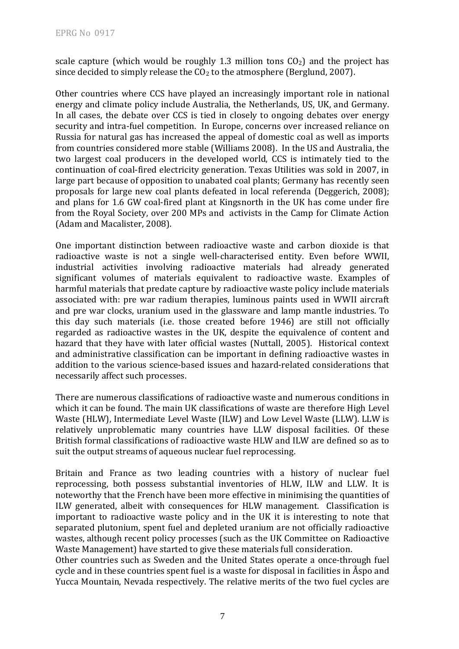scale capture (which would be roughly 1.3 million tons  $CO<sub>2</sub>$ ) and the project has since decided to simply release the  $CO<sub>2</sub>$  to the atmosphere (Berglund, 2007).

Other countries where CCS have played an increasingly important role in national energy and climate policy include Australia, the Netherlands, US, UK, and Germany. In all cases, the debate over CCS is tied in closely to ongoing debates over energy security and intra-fuel competition. In Europe, concerns over increased reliance on Russia for natural gas has increased the appeal of domestic coal as well as imports from countries considered more stable (Williams 2008). In the US and Australia, the two largest coal producers in the developed world, CCS is intimately tied to the continuation of coal‐fired electricity generation. Texas Utilities was sold in 2007, in large part because of opposition to unabated coal plants; Germany has recently seen proposals for large new coal plants defeated in local referenda (Deggerich, 2008); and plans for 1.6 GW coal‐fired plant at Kingsnorth in the UK has come under fire from the Royal Society, over 200 MPs and activists in the Camp for Climate Action (Adam and Macalister, 2008).

One important distinction between radioactive waste and carbon dioxide is that radioactive waste is not a single well‐characterised entity. Even before WWII, industrial activities involving radioactive materials had already generated significant volumes of materials equivalent to radioactive waste. Examples of harmful materials that predate capture by radioactive waste policy include materials associated with: pre war radium therapies, luminous paints used in WWII aircraft and pre war clocks, uranium used in the glassware and lamp mantle industries. To this day such materials (i.e. those created before 1946) are still not officially regarded as radioactive wastes in the UK, despite the equivalence of content and hazard that they have with later official wastes (Nuttall, 2005). Historical context and administrative classification can be important in defining radioactive wastes in addition to the various science‐based issues and hazard‐related considerations that necessarily affect such processes.

There are numerous classifications of radioactive waste and numerous conditions in which it can be found. The main UK classifications of waste are therefore High Level Waste (HLW), Intermediate Level Waste (ILW) and Low Level Waste (LLW). LLW is relatively unproblematic many countries have LLW disposal facilities. Of these British formal classifications of radioactive waste HLW and ILW are defined so as to suit the output streams of aqueous nuclear fuel reprocessing.

Britain and France as two leading countries with a history of nuclear fuel reprocessing, both possess substantial inventories of HLW, ILW and LLW. It is noteworthy that the French have been more effective in minimising the quantities of ILW generated, albeit with consequences for HLW management. Classification is important to radioactive waste policy and in the UK it is interesting to note that separated plutonium, spent fuel and depleted uranium are not officially radioactive wastes, although recent policy processes (such as the UK Committee on Radioactive Waste Management) have started to give these materials full consideration.

Other countries such as Sweden and the United States operate a once-through fuel cycle and in these countries spent fuel is a waste for disposal in facilities in Åspo and Yucca Mountain, Nevada respectively. The relative merits of the two fuel cycles are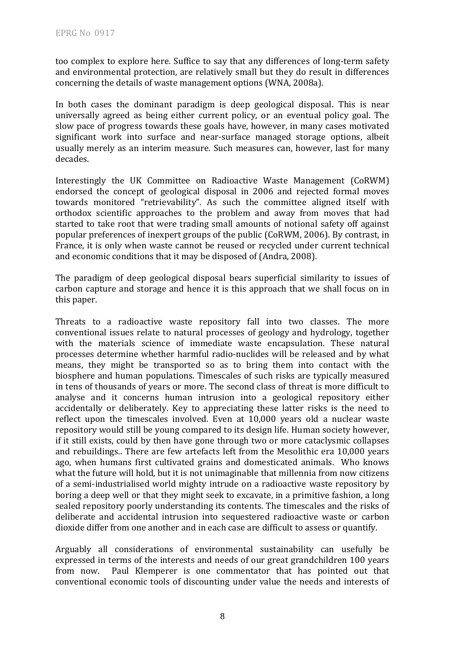too complex to explore here. Suffice to say that any differences of long-term safety and environmental protection, are relatively small but they do result in differences concerning the details of waste management options (WNA, 2008a).

In both cases the dominant paradigm is deep geological disposal. This is near universally agreed as being either current policy, or an eventual policy goal. The slow pace of progress towards these goals have, however, in many cases motivated significant work into surface and near-surface managed storage options, albeit usually merely as an interim measure. Such measures can, however, last for many decades.

Interestingly the UK Committee on Radioactive Waste Management (CoRWM) endorsed the concept of geological disposal in 2006 and rejected formal moves towards monitored "retrievability". As such the committee aligned itself with orthodox scientific approaches to the problem and away from moves that had started to take root that were trading small amounts of notional safety off against popular preferences of inexpert groups of the public (CoRWM, 2006). By contrast, in France, it is only when waste cannot be reused or recycled under current technical and economic conditions that it may be disposed of (Andra, 2008).

The paradigm of deep geological disposal bears superficial similarity to issues of carbon capture and storage and hence it is this approach that we shall focus on in this paper.

Threats to a radioactive waste repository fall into two classes. The more conventional issues relate to natural processes of geology and hydrology, together with the materials science of immediate waste encapsulation. These natural processes determine whether harmful radio‐nuclides will be released and by what means, they might be transported so as to bring them into contact with the biosphere and human populations. Timescales of such risks are typically measured in tens of thousands of years or more. The second class of threat is more difficult to analyse and it concerns human intrusion into a geological repository either accidentally or deliberately. Key to appreciating these latter risks is the need to reflect upon the timescales involved. Even at 10,000 years old a nuclear waste repository would still be young compared to its design life. Human society however, if it still exists, could by then have gone through two or more cataclysmic collapses and rebuildings.. There are few artefacts left from the Mesolithic era 10,000 years ago, when humans first cultivated grains and domesticated animals. Who knows what the future will hold, but it is not unimaginable that millennia from now citizens of a semi‐industrialised world mighty intrude on a radioactive waste repository by boring a deep well or that they might seek to excavate, in a primitive fashion, a long sealed repository poorly understanding its contents. The timescales and the risks of deliberate and accidental intrusion into sequestered radioactive waste or carbon dioxide differ from one another and in each case are difficult to assess or quantify.

Arguably all considerations of environmental sustainability can usefully be expressed in terms of the interests and needs of our great grandchildren 100 years from now. Paul Klemperer is one commentator that has pointed out that conventional economic tools of discounting under value the needs and interests of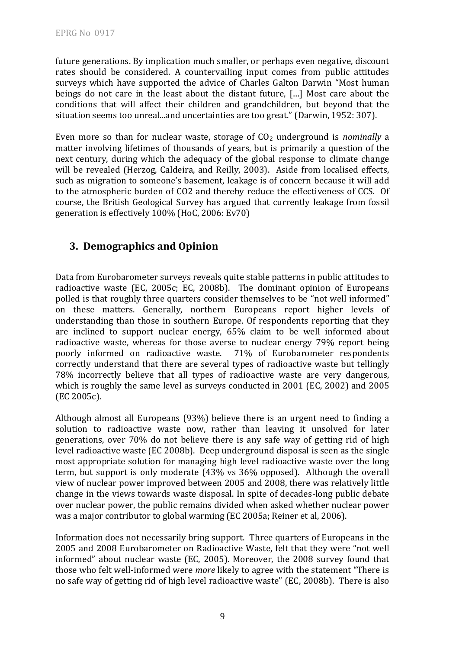future generations. By implication much smaller, or perhaps even negative, discount rates should be considered. A countervailing input comes from public attitudes surveys which have supported the advice of Charles Galton Darwin "Most human beings do not care in the least about the distant future, […] Most care about the conditions that will affect their children and grandchildren, but beyond that the situation seems too unreal...and uncertainties are too great." (Darwin, 1952: 307).

Even more so than for nuclear waste, storage of  $CO<sub>2</sub>$  underground is *nominally* a matter involving lifetimes of thousands of years, but is primarily a question of the next century, during which the adequacy of the global response to climate change will be revealed (Herzog, Caldeira, and Reilly, 2003). Aside from localised effects, such as migration to someone's basement, leakage is of concern because it will add to the atmospheric burden of CO2 and thereby reduce the effectiveness of CCS. Of ourse, the British Geological Survey has argued that currently leakage from fossil c generation is effectively 100% (HoC, 2006: Ev70)

#### **3. Demographics and Opinion**

Data from Eurobarometer surveys reveals quite stable patterns in public attitudes to radioactive waste (EC, 2005c; EC, 2008b). The dominant opinion of Europeans polled is that roughly three quarters consider themselves to be "not well informed" on these matters. Generally, northern Europeans report higher levels of understanding than those in southern Europe. Of respondents reporting that they are inclined to support nuclear energy, 65% claim to be well informed about radioactive waste, whereas for those averse to nuclear energy 79% report being poorly informed on radioactive waste. 71% of Eurobarometer respondents correctly understand that there are several types of radioactive waste but tellingly 78% incorrectly believe that all types of radioactive waste are very dangerous, which is roughly the same level as surveys conducted in 2001 (EC, 2002) and 2005 (EC 2005c).

Although almost all Europeans (93%) believe there is an urgent need to finding a solution to radioactive waste now, rather than leaving it unsolved for later generations, over 70% do not believe there is any safe way of getting rid of high level radioactive waste (EC 2008b). Deep underground disposal is seen as the single most appropriate solution for managing high level radioactive waste over the long term, but support is only moderate (43% vs 36% opposed). Although the overall view of nuclear power improved between 2005 and 2008, there was relatively little change in the views towards waste disposal. In spite of decades‐long public debate over nuclear power, the public remains divided when asked whether nuclear power was a major contributor to global warming (EC 2005a; Reiner et al, 2006).

Information does not necessarily bring support. Three quarters of Europeans in the 2005 and 2008 Eurobarometer on Radioactive Waste, felt that they were "not well informed" about nuclear waste (EC, 2005). Moreover, the 2008 survey found that those who felt well‐informed were *more* likely to agree with the statement "There is no safe way of getting rid of high level radioactive waste" (EC, 2008b). There is also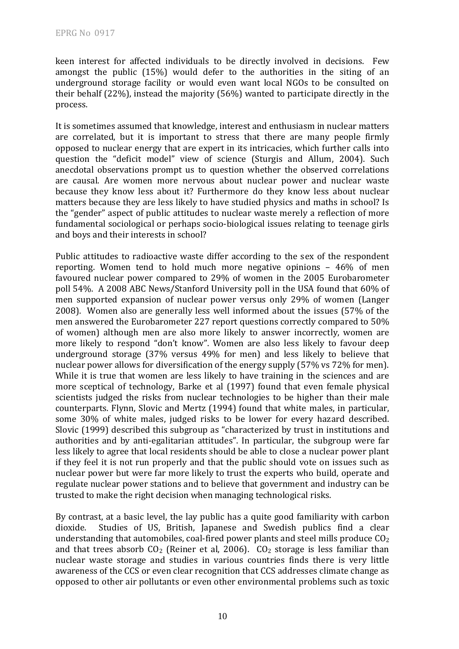keen interest for affected individuals to be directly involved in decisions. Few amongst the public (15%) would defer to the authorities in the siting of an underground storage facility or would even want local NGOs to be consulted on their behalf (22%), instead the majority (56%) wanted to participate directly in the process.

It is sometimes assumed that knowledge, interest and enthusiasm in nuclear matters are correlated, but it is important to stress that there are many people firmly opposed to nuclear energy that are expert in its intricacies, which further calls into question the "deficit model" view of science (Sturgis and Allum, 2004). Such anecdotal observations prompt us to question whether the observed correlations are causal. Are women more nervous about nuclear power and nuclear waste because they know less about it? Furthermore do they know less about nuclear matters because they are less likely to have studied physics and maths in school? Is the "gender" aspect of public attitudes to nuclear waste merely a reflection of more fundamental sociological or perhaps socio‐biological issues relating to teenage girls and boys and their interests in school?

Public attitudes to radioactive waste differ according to the sex of the respondent reporting. Women tend to hold much more negative opinions – 46% of men favoured nuclear power compared to 29% of women in the 2005 Eurobarometer poll 54%. A 2008 ABC News/Stanford University poll in the USA found that 60% of men supported expansion of nuclear power versus only 29% of women (Langer 2008). Women also are generally less well informed about the issues (57% of the men answered the Eurobarometer 227 report questions correctly compared to 50% of women) although men are also more likely to answer incorrectly, women are more likely to respond "don't know". Women are also less likely to favour deep underground storage (37% versus 49% for men) and less likely to believe that nuclear power allows for diversification of the energy supply (57% vs 72% for men). While it is true that women are less likely to have training in the sciences and are more sceptical of technology, Barke et al (1997) found that even female physical scientists judged the risks from nuclear technologies to be higher than their male counterparts. Flynn, Slovic and Mertz (1994) found that white males, in particular, some 30% of white males, iudged risks to be lower for every hazard described. Slovic (1999) described this subgroup as "characterized by trust in institutions and authorities and by anti-egalitarian attitudes". In particular, the subgroup were far less likely to agree that local residents should be able to close a nuclear power plant if they feel it is not run properly and that the public should vote on issues such as nuclear power but were far more likely to trust the experts who build, operate and regulate nuclear power stations and to believe that government and industry can be trusted to make the right decision when managing technological risks.

By contrast, at a basic level, the lay public has a quite good familiarity with carbon dioxide. Studies of US, British, Japanese and Swedish publics find a clear understanding that automobiles, coal-fired power plants and steel mills produce  $CO<sub>2</sub>$ and that trees absorb  $CO<sub>2</sub>$  (Reiner et al, 2006).  $CO<sub>2</sub>$  storage is less familiar than nuclear waste storage and studies in various countries finds there is very little awareness of the CCS or even clear recognition that CCS addresses climate change as opposed to other air pollutants or even other environmental problems such as toxic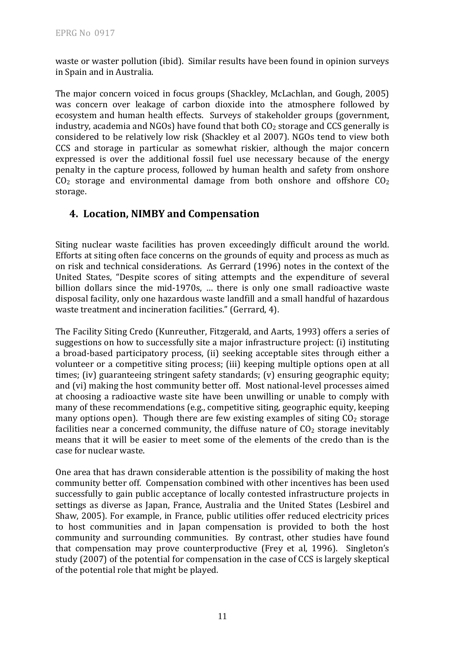waste or waster pollution (ibid). Similar results have been found in opinion surveys in Spain and in Australia.

The major concern voiced in focus groups (Shackley, McLachlan, and Gough, 2005) was concern over leakage of carbon dioxide into the atmosphere followed by ecosystem and human health effects. Surveys of stakeholder groups (government, industry, academia and NGOs) have found that both  $CO<sub>2</sub>$  storage and CCS generally is considered to be relatively low risk (Shackley et al 2007). NGOs tend to view both CCS and storage in particular as somewhat riskier, although the major concern expressed is over the additional fossil fuel use necessary because of the energy penalty in the capture process, followed by human health and safety from onshore  $CO<sub>2</sub>$  storage and environmental damage from both onshore and offshore  $CO<sub>2</sub>$ s torage.

#### **4. Location, NIMBY and Compensation**

Siting nuclear waste facilities has proven exceedingly difficult around the world. Efforts at siting often face concerns on the grounds of equity and process as much as on risk and technical considerations. As Gerrard (1996) notes in the context of the United States, "Despite scores of siting attempts and the expenditure of several billion dollars since the mid-1970s, ... there is only one small radioactive waste disposal facility, only one hazardous waste landfill and a small handful of hazardous waste treatment and incineration facilities." (Gerrard, 4).

The Facility Siting Credo (Kunreuther, Fitzgerald, and Aarts, 1993) offers a series of suggestions on how to successfully site a major infrastructure project: (i) instituting a broad‐based participatory process, (ii) seeking acceptable sites through either a volunteer or a competitive siting process; (iii) keeping multiple options open at all times; (iv) guaranteeing stringent safety standards; (v) ensuring geographic equity; and (vi) making the host community better off. Most national‐level processes aimed at choosing a radioactive waste site have been unwilling or unable to comply with many of these recommendations (e.g., competitive siting, geographic equity, keeping many options open). Though there are few existing examples of siting  $CO<sub>2</sub>$  storage facilities near a concerned community, the diffuse nature of  $CO<sub>2</sub>$  storage inevitably means that it will be easier to meet some of the elements of the credo than is the case for nuclear waste.

One area that has drawn considerable attention is the possibility of making the host community better off. Compensation combined with other incentives has been used successfully to gain public acceptance of locally contested infrastructure projects in settings as diverse as Japan, France, Australia and the United States (Lesbirel and Shaw, 2005). For example, in France, public utilities offer reduced electricity prices to host communities and in Japan compensation is provided to both the host community and surrounding communities. By contrast, other studies have found that compensation may prove counterproductive (Frey et al, 1996). Singleton's study (2007) of the potential for compensation in the case of CCS is largely skeptical of the potential role that might be played.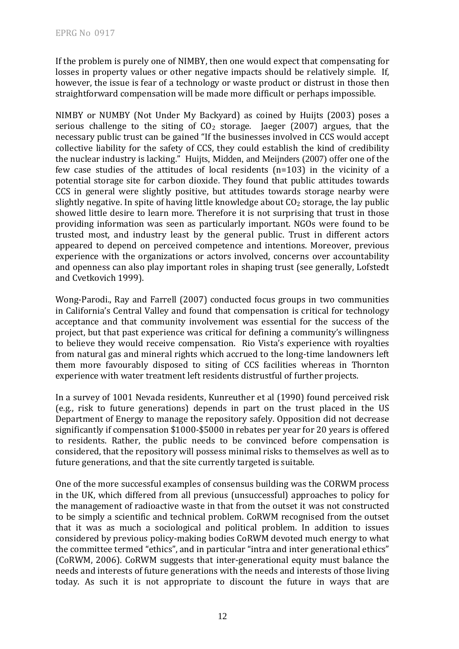If the problem is purely one of NIMBY, then one would expect that compensating for losses in property values or other negative impacts should be relatively simple. If, however, the issue is fear of a technology or waste product or distrust in those then straightforward compensation will be made more difficult or perhaps impossible.

NIMBY or NUMBY (Not Under My Backyard) as coined by Huijts (2003) poses a serious challenge to the siting of  $CO<sub>2</sub>$  storage. [aeger  $(2007)$ ] argues, that the necessary public trust can be gained "If the businesses involved in CCS would accept collective liability for the safety of CCS, they could establish the kind of credibility the nuclear industry is lacking." Huijts, Midden, and Meijnders (2007) offer one of the few case studies of the attitudes of local residents (n=103) in the vicinity of a potential storage site for carbon dioxide. They found that public attitudes towards CCS in general were slightly positive, but attitudes towards storage nearby were slightly negative. In spite of having little knowledge about  $CO<sub>2</sub>$  storage, the lay public showed little desire to learn more. Therefore it is not surprising that trust in those providing information was seen as particularly important. NGOs were found to be trusted most, and industry least by the general public. Trust in different actors appeared to depend on perceived competence and intentions. Moreover, previous experience with the organizations or actors involved, concerns over accountability and openness can also play important roles in shaping trust (see generally, Lofstedt and Cvetkovich 1999).

Wong-Parodi., Ray and Farrell (2007) conducted focus groups in two communities in California's Central Valley and found that compensation is critical for technology acceptance and that community involvement was essential for the success of the project, but that past experience was critical for defining a community's willingness to believe they would receive compensation. Rio Vista's experience with royalties from natural gas and mineral rights which accrued to the long-time landowners left them more favourably disposed to siting of CCS facilities whereas in Thornton experience with water treatment left residents distrustful of further projects.

In a survey of 1001 Nevada residents, Kunreuther et al (1990) found perceived risk (e.g., risk to future generations) depends in part on the trust placed in the US Department of Energy to manage the repository safely. Opposition did not decrease significantly if compensation \$1000‐\$5000 in rebates per year for 20 years is offered to residents. Rather, the public needs to be convinced before compensation is considered, that the repository will possess minimal risks to themselves as well as to future generations, and that the site currently targeted is suitable.

One of the more successful examples of consensus building was the CORWM process in the UK, which differed from all previous (unsuccessful) approaches to policy for the management of radioactive waste in that from the outset it was not constructed to be simply a scientific and technical problem. CoRWM recognised from the outset that it was as much a sociological and political problem. In addition to issues considered by previous policy‐making bodies CoRWM devoted much energy to what the committee termed "ethics", and in particular "intra and inter generational ethics" (CoRWM, 2006). CoRWM suggests that inter‐generational equity must balance the needs and interests of future generations with the needs and interests of those living today. As such it is not appropriate to discount the future in ways that are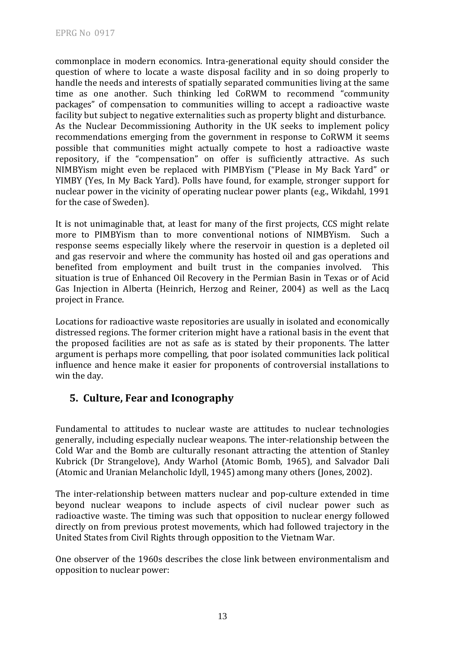commonplace in modern economics. Intra‐generational equity should consider the question of where to locate a waste disposal facility and in so doing properly to handle the needs and interests of spatially separated communities living at the same time as one another. Such thinking led CoRWM to recommend "community packages" of compensation to communities willing to accept a radioactive waste facility but subject to negative externalities such as property blight and disturbance. As the Nuclear Decommissioning Authority in the UK seeks to implement policy recommendations emerging from the government in response to CoRWM it seems possible that communities might actually compete to host a radioactive waste repository, if the "compensation" on offer is sufficiently attractive. As such NIMBYism might even be replaced with PIMBYism ("Please in My Back Yard" or YIMBY (Yes, In My Back Yard). Polls have found, for example, stronger support for nuclear power in the vicinity of operating nuclear power plants (e.g., Wikdahl, 1991 for the case of Sweden).

It is not unimaginable that, at least for many of the first projects, CCS might relate more to PIMBYism than to more conventional notions of NIMBYism. Such a response seems especially likely where the reservoir in question is a depleted oil and gas reservoir and where the community has hosted oil and gas operations and benefited from employment and built trust in the companies involved. This situation is true of Enhanced Oil Recovery in the Permian Basin in Texas or of Acid Gas Injection in Alberta (Heinrich, Herzog and Reiner, 2004) as well as the Lacq project in France.

Locations for radioactive waste repositories are usually in isolated and economically distressed regions. The former criterion might have a rational basis in the event that the proposed facilities are not as safe as is stated by their proponents. The latter argument is perhaps more compelling, that poor isolated communities lack political influence and hence make it easier for proponents of controversial installations to win the day.

### **5. Culture, Fear and Iconography**

Fundamental to attitudes to nuclear waste are attitudes to nuclear technologies generally, including especially nuclear weapons. The inter‐relationship between the Cold War and the Bomb are culturally resonant attracting the attention of Stanley Kubrick (Dr Strangelove), Andy Warhol (Atomic Bomb, 1965), and Salvador Dali (Atomic and Uranian Melancholic Idyll, 1945) among many others (Jones, 2002).

The inter-relationship between matters nuclear and pop-culture extended in time beyond nuclear weapons to include aspects of civil nuclear power such as radioactive waste. The timing was such that opposition to nuclear energy followed directly on from previous protest movements, which had followed trajectory in the United States from Civil Rights through opposition to the Vietnam War.

One observer of the 1960s describes the close link between environmentalism and opposition to nuclear power: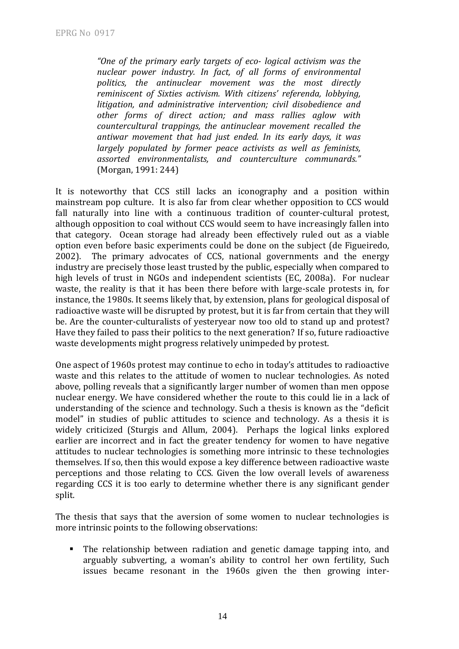*"One of the primary early targets of eco logical activism was the nuclear power industry. In fact, of all forms of environmental politics, the antinuclear movement was the most directly reminiscent of Sixties activism. With citizens' referenda, lobbying, litigation, and administrative intervention; civil disobedience and other forms of direct action; and mass rallies aglow with countercultural trappings, the antinuclear movement recalled the antiwar movement that had just ended. In its early days, it was largely populated by former peace activists as well as feminists, assorted environmentalists, and counterculture communards."* (Morgan, 1991: 244)

It is noteworthy that CCS still lacks an iconography and a position within mainstream pop culture. It is also far from clear whether opposition to CCS would fall naturally into line with a continuous tradition of counter-cultural protest, although opposition to coal without CCS would seem to have increasingly fallen into that category. Ocean storage had already been effectively ruled out as a viable option even before basic experiments could be done on the subject (de Figueiredo, 2002). The primary advocates of CCS, national governments and the energy industry are precisely those least trusted by the public, especially when compared to high levels of trust in NGOs and independent scientists (EC, 2008a). For nuclear waste, the reality is that it has been there before with large-scale protests in, for instance, the 1980s. It seems likely that, by extension, plans for geological disposal of radioactive waste will be disrupted by protest, but it is far from certain that they will be. Are the counter-culturalists of yesteryear now too old to stand up and protest? Have they failed to pass their politics to the next generation? If so, future radioactive waste developments might progress relatively unimpeded by protest.

One aspect of 1960s protest may continue to echo in today's attitudes to radioactive waste and this relates to the attitude of women to nuclear technologies. As noted above, polling reveals that a significantly larger number of women than men oppose nuclear energy. We have considered whether the route to this could lie in a lack of understanding of the science and technology. Such a thesis is known as the "deficit model" in studies of public attitudes to science and technology. As a thesis it is widely criticized (Sturgis and Allum, 2004). Perhaps the logical links explored earlier are incorrect and in fact the greater tendency for women to have negative attitudes to nuclear technologies is something more intrinsic to these technologies themselves. If so, then this would expose a key difference between radioactive waste perceptions and those relating to CCS. Given the low overall levels of awareness regarding CCS it is too early to determine whether there is any significant gender split.

The thesis that says that the aversion of some women to nuclear technologies is more intrinsic points to the following observations:

 The relationship between radiation and genetic damage tapping into, and arguably subverting, a woman's ability to control her own fertility, Such issues became resonant in the 1960s given the then growing inter‐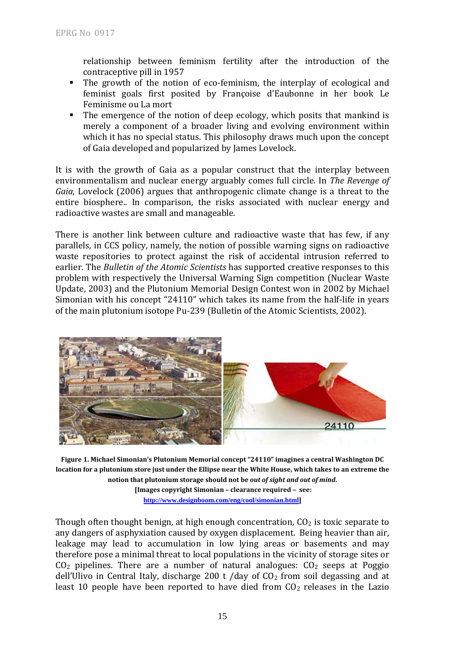relationship between feminism fertility after the introduction of the contraceptive pill in 1957

- The growth of the notion of eco-feminism, the interplay of ecological and feminist goals first posited by Françoise d'Eaubonne in her book Le Feminisme ou La mort
- The emergence of the notion of deep ecology, which posits that mankind is merely a component of a broader living and evolving environment within which it has no special status. This philosophy draws much upon the concept of Gaia developed and popularized by James Lovelock.

It is with the growth of Gaia as a popular construct that the interplay between environmentalism and nuclear energy arguably comes full circle. In *The Revenge of Gaia*, Lovelock (2006) argues that anthropogenic climate change is a threat to the entire biosphere.. In comparison, the risks associated with nuclear energy and radioactive wastes are small and manageable.

There is another link between culture and radioactive waste that has few, if any parallels, in CCS policy, namely, the notion of possible warning signs on radioactive waste repositories to protect against the risk of accidental intrusion referred to earlier. The *Bulletin of the Atomic Scientists* has supported creative responses to this problem with respectively the Universal Warning Sign competition (Nuclear Waste Update, 2003) and the Plutonium Memorial Design Contest won in 2002 by Michael Simonian with his concept "24110" which takes its name from the half-life in years of the main plutonium isotope Pu-239 (Bulletin of the Atomic Scientists, 2002).



**Figure 1. Michael Simonian's Plutonium Memorial concept "24110" imagines a central Washington DC** location for a plutonium store just under the Ellipse near the White House, which takes to an extreme the **notion that plutonium storage should not be** *out of sight and out of mind***.** 

**[Images copyright Simonian – clearance required – see: http://www.designboom.com/eng/cool/simonian.html]**

Though often thought benign, at high enough concentration,  $CO<sub>2</sub>$  is toxic separate to any dangers of asphyxiation caused by oxygen displacement. Being heavier than air, leakage may lead to accumulation in low lying areas or basements and may therefore pose a minimal threat to local populations in the vicinity of storage sites or  $CO<sub>2</sub>$  pipelines. There are a number of natural analogues:  $CO<sub>2</sub>$  seeps at Poggio dell'Ulivo in Central Italy, discharge 200 t /day of  $CO<sub>2</sub>$  from soil degassing and at least 10 people have been reported to have died from  $CO<sub>2</sub>$  releases in the Lazio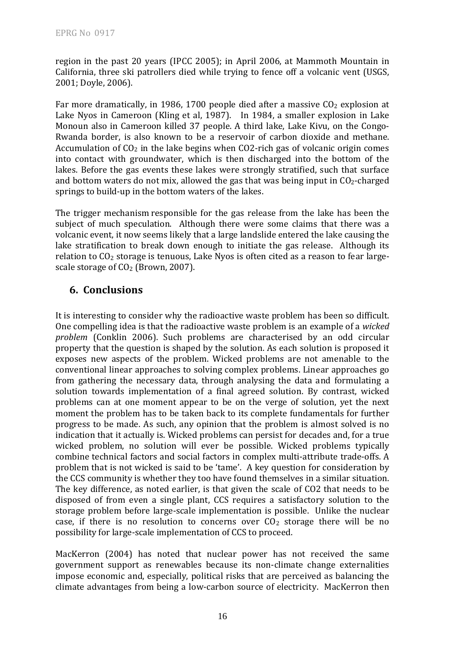region in the past 20 years (IPCC 2005); in April 2006, at Mammoth Mountain in California, three ski patrollers died while trying to fence off a volcanic vent (USGS, 2001; Doyle, 2006).

Far more dramatically, in 1986, 1700 people died after a massive  $CO<sub>2</sub>$  explosion at Lake Nyos in Cameroon (Kling et al, 1987). In 1984, a smaller explosion in Lake Monoun also in Cameroon killed 37 people. A third lake, Lake Kivu, on the Congo-Rwanda border, is also known to be a reservoir of carbon dioxide and methane. Accumulation of  $CO<sub>2</sub>$  in the lake begins when  $CO<sub>2</sub>$ -rich gas of volcanic origin comes into contact with groundwater, which is then discharged into the bottom of the lakes. Before the gas events these lakes were strongly stratified, such that surface and bottom waters do not mix, allowed the gas that was being input in  $CO<sub>2</sub>$ -charged springs to build‐up in the bottom waters of the lakes.

The trigger mechanism responsible for the gas release from the lake has been the subject of much speculation. Although there were some claims that there was a volcanic event, it now seems likely that a large landslide entered the lake causing the lake stratification to break down enough to initiate the gas release. Although its relation to CO 2 storage is tenuous, Lake Nyos is often cited as a reason to fear large‐ scale storage of CO<sub>2</sub> (Brown, 2007).

#### **6. Conclusions**

It is interesting to consider why the radioactive waste problem has been so difficult. One compelling idea is that the radioactive waste problem is an example of a *wicked problem* (Conklin 2006). Such problems are characterised by an odd circular property that the question is shaped by the solution. As each solution is proposed it exposes new aspects of the problem. Wicked problems are not amenable to the conventional linear approaches to solving complex problems. Linear approaches go from gathering the necessary data, through analysing the data and formulating a solution towards implementation of a final agreed solution. By contrast, wicked problems can at one moment appear to be on the verge of solution, yet the next moment the problem has to be taken back to its complete fundamentals for further progress to be made. As such, any opinion that the problem is almost solved is no indication that it actually is. Wicked problems can persist for decades and, for a true wicked problem, no solution will ever be possible. Wicked problems typically combine technical factors and social factors in complex multi‐attribute trade‐offs. A problem that is not wicked is said to be 'tame'. A key question for consideration by the CCS community is whether they too have found themselves in a similar situation. The key difference, as noted earlier, is that given the scale of CO2 that needs to be disposed of from even a single plant, CCS requires a satisfactory solution to the storage problem before large‐scale implementation is possible. Unlike the nuclear case, if there is no resolution to concerns over  $CO<sub>2</sub>$  storage there will be no possibility for large‐scale implementation of CCS to proceed.

MacKerron (2004) has noted that nuclear power has not received the same government support as renewables because its non‐climate change externalities impose economic and, especially, political risks that are perceived as balancing the climate advantages from being a low‐carbon source of electricity. MacKerron then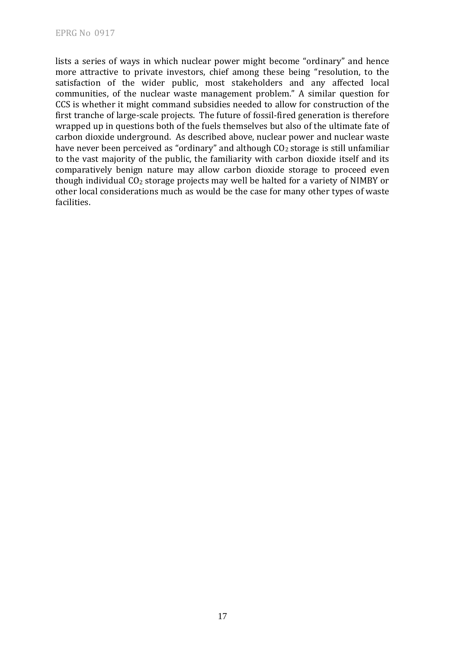lists a series of ways in which nuclear power might become "ordinary" and hence more attractive to private investors, chief among these being "resolution, to the satisfaction of the wider public, most stakeholders and any affected local communities, of the nuclear waste management problem." A similar question for CCS is whether it might command subsidies needed to allow for construction of the first tranche of large‐scale projects. The future of fossil‐fired generation is therefore wrapped up in questions both of the fuels themselves but also of the ultimate fate of carbon dioxide underground. As described above, nuclear power and nuclear waste have never been perceived as "ordinary" and although  $CO<sub>2</sub>$  storage is still unfamiliar to the vast majority of the public, the familiarity with carbon dioxide itself and its comparatively benign nature may allow carbon dioxide storage to proceed even though individual  $CO<sub>2</sub>$  storage projects may well be halted for a variety of NIMBY or other local considerations much as would be the case for many other types of waste acilities. f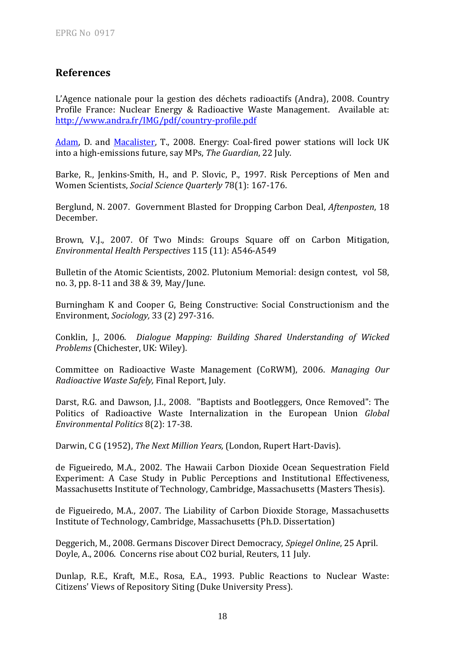#### **References**

L'Agence nationale pour la gestion des déchets radioactifs (Andra), 2008. Country [Profile France: Nuclear Energy & Radioactive Wa](http://www.guardian.co.uk/profile/davidadam)ste Management. Available at: http://www.andra.fr/IMG/pdf/country‐profile.pdf

Adam, D. and Macalister, T., 2008. Energy: Coal-fired power stations will lock UK into a high‐emissions future, say MPs, *The Guardian*, 22 July.

Barke, R., Jenkins-Smith, H., and P. Slovic, P., 1997. Risk Perceptions of Men and Women Scientists, *Social Science Quarterly* 78(1): 167‐176.

Berglund, N. 2007. Government Blasted for Dropping Carbon Deal, *Aftenposten*, 18 December.

Brown, V.J., 2007. Of Two Minds: Groups Square off on Carbon Mitigation, *Environmental Health Perspectives* 115 (11): A546‐A549

Bulletin of the Atomic Scientists, 2002. Plutonium Memorial: design contest, vol 58, no. 3, pp. 8‐11 and 38 & 39, May/June.

Burningham K and Cooper G, Being Constructive: Social Constructionism and the Environment, *Sociology*, 33 (2) 297-316.

onklin, J., 2006. *Dialogue Mapping: Building Shared Understanding of Wicked* C Problems (Chichester, UK: Wiley).

Committee on Radioactive Waste Management (CoRWM), 2006. *Managing Our Radioactive Waste Safely,* Final Report, July.

Darst, R.G. and Dawson, J.I., 2008. "Baptists and Bootleggers, Once Removed": The Politics of Radioactive Waste Internalization in the European Union Global Environmental Politics 8(2): 17-38.

Darwin, C G (1952), *The Next Million Years,* (London, Rupert Hart‐Davis).

de Figueiredo, M.A., 2002. The Hawaii Carbon Dioxide Ocean Sequestration Field Experiment: A Case Study in Public Perceptions and Institutional Effectiveness, Massachusetts Institute of Technology, Cambridge, Massachusetts (Masters Thesis).

de Figueiredo, M.A., 2007. The Liability of Carbon Dioxide Storage, Massachusetts Institute of Technology, Cambridge, Massachusetts (Ph.D. Dissertation)

Deggerich, M., 2008. Germans Discover Direct Democracy, Spiegel Online, 25 April. Doyle, A., 2006. Concerns rise about CO2 burial, Reuters, 11 July.

Dunlap, R.E., Kraft, M.E., Rosa, E.A., 1993. Public Reactions to Nuclear Waste: Citizens' Views of Repository Siting (Duke University Press).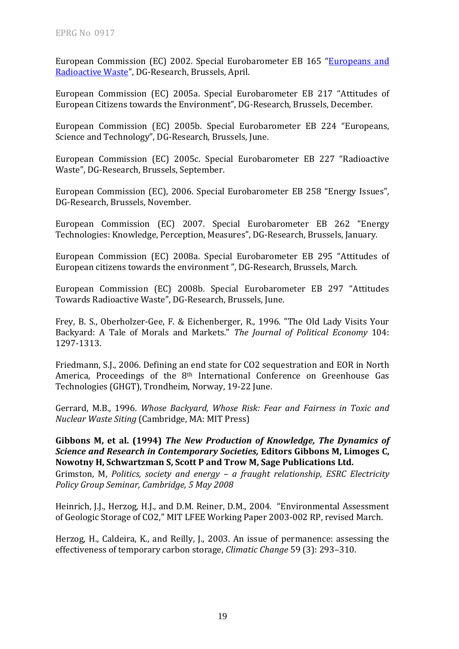European Commission (EC) 2002. Special Eurobarometer EB 165 "Europeans and Radioactive Waste", DG‐Research, Brussels, April.

European Commission (EC) 2005a. Special Eurobarometer EB 217 "Attitudes of European Citizens towards the Environment", DG-Research, Brussels, December.

European Commission (EC) 2005b. Special Eurobarometer EB 224 "Europeans, Science and Technology", DG‐Research, Brussels, June.

European Commission (EC) 2005c. Special Eurobarometer EB 227 "Radioactive Waste", DG‐Research, Brussels, September.

European Commission (EC), 2006. Special Eurobarometer EB 258 "Energy Issues", DG‐Research, Brussels, November.

European Commission (EC) 2007. Special Eurobarometer EB 262 "Energy Technologies: Knowledge, Perception, Measures", DG‐Research, Brussels, January.

European Commission (EC) 2008a. Special Eurobarometer EB 295 "Attitudes of European citizens towards the environment ", DG‐Research, Brussels, March.

European Commission (EC) 2008b. Special Eurobarometer EB 297 "Attitudes Towards Radioactive Waste", DG‐Research, Brussels, June.

Frey, B. S., Oberholzer‐Gee, F. & Eichenberger, R., 1996. "The Old Lady Visits Your Backyard: A Tale of Morals and Markets." *The Journal of Political Economy* 104: 1297‐1313.

Friedmann, S.J., 2006. Defining an end state for CO2 sequestration and EOR in North America, Proceedings of the 8<sup>th</sup> International Conference on Greenhouse Gas Technologies (GHGT), Trondheim, Norway, 19-22 June.

errard, M.B., 1996. *Whose Backyard, Whose Risk: Fear and Fairness in Toxic and* G *uclear Waste Siting N* (Cambridge, MA: MIT Press)

**Gibbons M, et al. (1994)** *The New Production of Knowledge, The Dynamics of esearch in Contemporary Societies,* **Editors Gibbons M, Limoges C,** *Science and R* **Rowotny H, Schwartzman S, Scott P and Trow M, Sage Publications Ltd.** 

Grimston, M, *Politics, society and energy – a fraught relationship, ESRC Electricity Policy Group Seminar, Cambridge, 5 May 2008*

Heinrich, J.J., Herzog, H.J., and D.M. Reiner, D.M., 2004. "Environmental Assessment of Geologic Storage of CO2," MIT LFEE Working Paper 2003‐002 RP, revised March.

Herzog, H., Caldeira, K., and Reilly, J., 2003. An issue of permanence: assessing the effectiveness of temporary carbon storage, *Climatic Change* 59 (3): 293-310.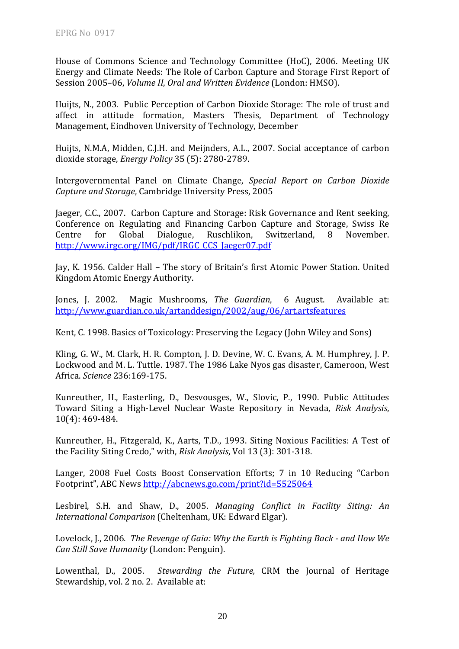House of Commons Science and Technology Committee (HoC), 2006. Meeting UK Energy and Climate Needs: The Role of Carbon Capture and Storage First Report of Session 2005–06, *Volume II*, *Oral and Written Evidence* (London: HMSO).

Huijts, N., 2003. Public Perception of Carbon Dioxide Storage: The role of trust and affect in attitude formation, Masters Thesis, Department of Technology Management, Eindhoven University of Technology, December

Huijts, N.M.A, Midden, C.J.H. and Meijnders, A.L., 2007. Social acceptance of carbon dioxide storage, *Energy Policy* 35 (5): 2780‐2789.

Intergovernmental Panel on Climate Change, *Special Report on Carbon Dioxide Capture and Storage*, Cambridge University Press, 2005

Jaeger, C.C., 2007. Carbon Capture and Storage: Risk Governance and Rent seeking, Conference on Regulating and Financing Carbon Capture and Storage, Swiss Re Centre for Global Dialogue, Ruschlikon, Switzerland, 8 November. http://www.irgc.org/IMG/pdf/IRGC\_CCS\_Jaeger07.pdf

Jay, K. 1956. Calder Hall – The story of Britain's first Atomic Power Station. United Kingdom Atomic Energy Authority.

Jones, J. 2002. Magic Mushrooms, *The Guardian*, 6 August. Available at: http://www.guardian.co.uk/artanddesign/2002/aug/06/art.artsfeatures

Kent, C. 1998. Basics of Toxicology: Preserving the Legacy (John Wiley and Sons)

Kling, G. W., M. Clark, H. R. Compton, J. D. Devine, W. C. Evans, A. M. Humphrey, J. P. Lockwood and M. L. Tuttle. 1987. The 1986 Lake Nyos gas disaster, Cameroon, West Africa. *Science* 236:169‐175.

Kunreuther, H., Easterling, D., Desvousges, W., Slovic, P., 1990. Public Attitudes Toward Siting a High‐Level Nuclear Waste Repository in Nevada, *Risk Analysis*, 10(4): 469‐484.

Kunreuther, H., Fitzgerald, K., Aarts, T.D., 1993. Siting Noxious Facilities: A Test of the Facility Siting Credo," with, *Risk Analysis*, Vol 13 (3): 301‐318.

Langer, 2008 Fuel Costs Boost Conservation Efforts; 7 in 10 Reducing "Carbon Footprint", ABC News http://abcnews.go.com/print?id=5525064

esbirel, S.H. and Shaw, D., 2005. *Managing Conflict in Facility Siting: An* L International Comparison (Cheltenham, UK: Edward Elgar).

ovelock, J., 2006. *The Revenge of Gaia: Why the Earth is Fighting Back and How We* L *Can Still Save Humanity* (London: Penguin).

Lowenthal, D., 2005. *Stewarding the Future,* CRM the Journal of Heritage Stewardship, vol. 2 no. 2. Available at: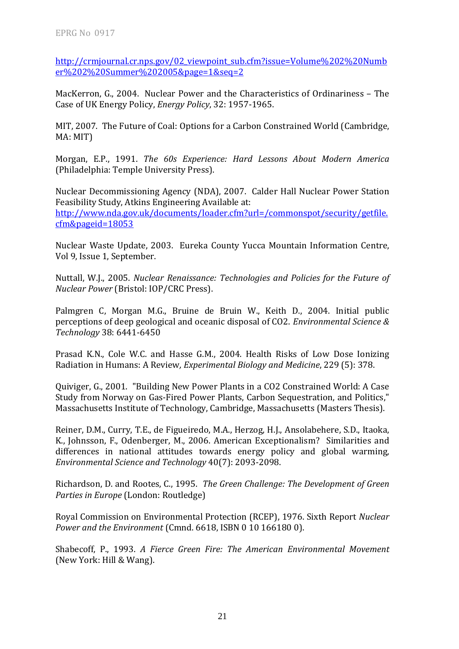http://crmjournal.cr.nps.gov/02\_viewpoint\_sub.cfm?issue=Volume%202%20Numb er%202%20Summer%202005&page=1&seq=2

MacKerron, G., 2004. Nuclear Power and the Characteristics of Ordinariness – The Case of UK Energy Policy, *Energy Policy*, 32: 1957‐1965.

MIT, 2007. The Future of Coal: Options for a Carbon Constrained World (Cambridge, MA: MIT)

Morgan, E.P., 1991. *The 60s Experience: Hard Lessons About Modern America* (Philadelphia: Temple University Press).

Nuclear Decommissioning Agency (NDA), 2007. Calder Hall Nuclear Power Station Feasibility Study, Atkins Engineering Available at: http://www.nda.gov.uk/documents/loader.cfm?url=/commonspot/security/getfile. cfm&pageid=18053

Nuclear Waste Update, 2003. Eureka County Yucca Mountain Information Centre, Vol 9, Issue 1, September.

uttall, W.J., 2005. *Nuclear Renaissance: Technologies and Policies for the Future of* N *Nuclear Power* (Bristol: IOP/CRC Press).

Palmgren C, Morgan M.G., Bruine de Bruin W., Keith D., 2004. Initial public perceptions of deep geological and oceanic disposal of CO2. *Environmental Science & Technology* 38: 6441‐6450

Prasad K.N., Cole W.C. and Hasse G.M., 2004. Health Risks of Low Dose Ionizing Radiation in Humans: A Review*, Experimental Biology and Medicine*, 229 (5): 378.

Quiviger, G., 2001. "Building New Power Plants in a CO2 Constrained World: A Case Study from Norway on Gas‐Fired Power Plants, Carbon Sequestration, and Politics," Massachusetts Institute of Technology, Cambridge, Massachusetts (Masters Thesis).

Reiner, D.M., Curry, T.E., de Figueiredo, M.A., Herzog, H.J., Ansolabehere, S.D., Itaoka, K., Johnsson, F., Odenberger, M., 2006. American Exceptionalism? Similarities and differences in national attitudes towards energy policy and global warming, Environmental *Science* and Technology 40(7): 2093-2098.

Richardson, D. and Rootes, C., 1995. *The Green Challenge: The Development of Green Parties in Europe* (London: Routledge)

Royal Commission on Environmental Protection (RCEP), 1976. Sixth Report Nuclear *Power and the Environment* (Cmnd. 6618, ISBN 0 10 166180 0).

Shabecoff, P., 1993. *A Fierce Green Fire: The American Environmental Movement* (New York: Hill & Wang).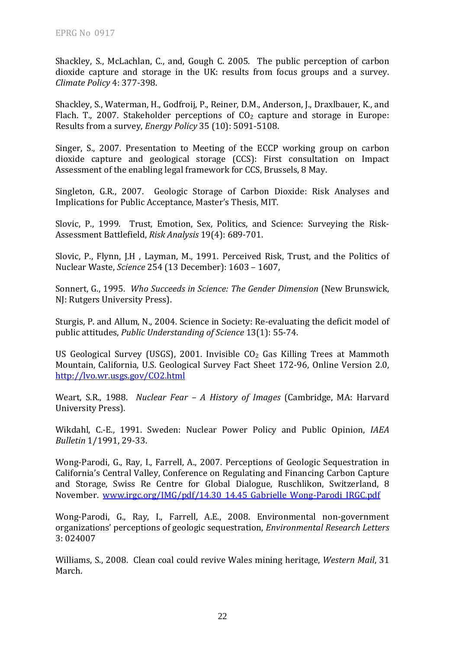Shackley, S., McLachlan, C., and, Gough C. 2005. The public perception of carbon dioxide capture and storage in the UK: results from focus groups and a survey. *Climate Policy* 4: 377‐398.

Shackley, S., Waterman, H., Godfroij, P., Reiner, D.M., Anderson, J., Draxlbauer, K., and Flach. T., 2007. Stakeholder perceptions of  $CO<sub>2</sub>$  capture and storage in Europe: Results from a survey, *Energy Policy* 35 (10): 5091‐5108.

Singer, S., 2007. Presentation to Meeting of the ECCP working group on carbon dioxide capture and geological storage (CCS): First consultation on Impact Assessment of the enabling legal framework for CCS, Brussels, 8 May.

Singleton, G.R., 2007. Geologic Storage of Carbon Dioxide: Risk Analyses and Implications for Public Acceptance, Master's Thesis, MIT.

Slovic, P., 1999. Trust, Emotion, Sex, Politics, and Science: Surveying the Risk-Assessment Battlefield, *Risk Analysis* 19(4): 689‐701.

Slovic, P., Flynn, J.H , Layman, M., 1991. Perceived Risk, Trust, and the Politics of *nce* Nuclear Waste, *Scie* 254 (13 December): 1603 – 1607,

onnert, G., 1995. *Who Succeeds in Science: The Gender Dimension* (New Brunswick, S NJ: Rutgers University Press).

Sturgis, P. and Allum, N., 2004. Science in Society: Re‐evaluating the deficit model of public attitudes, *Public Understanding of Science* 13(1): 55‐74.

US Geological Survey (USGS), 2001. Invisible  $CO<sub>2</sub>$  Gas Killing Trees at Mammoth Mountain, California, U.S. Geolo[gic](http://lvo.wr.usgs.gov/CO2.html)al Survey Fact Sheet 172-96, Online Version 2.0, http://lvo.wr.usgs.gov/CO2.html

Weart, S.R., 1988. *Nuclear Fear – A History of Images* (Cambridge, MA: Harvard University Press).

Wikdahl, C.‐E., 1991. Sweden: Nuclear Power Policy and Public Opinion, *IAEA Bulletin* 1/1991, 29‐33.

Wong-Parodi, G., Ray, I., Farrell, A., 2007. Perceptions of Geologic Sequestration in California's Central Valley, Conference on Regulating and Financing Carbon Capture and Storage, Swiss Re Centre for Global Dialogue, Ruschlikon, Switzerland, 8 November. www.irgc.org/IMG/pdf/14.30\_14.45\_Gabrielle\_Wong‐Parodi\_IRGC.pdf

Wong‐Parodi, G., Ray, I., Farrell, A.E., 2008. Environmental non‐government organizations' perceptions of geologic sequestration, *Environmental Research Letters* 3: 024007

Williams, S., 2008. Clean coal could revive Wales mining heritage, Western Mail, 31 March.